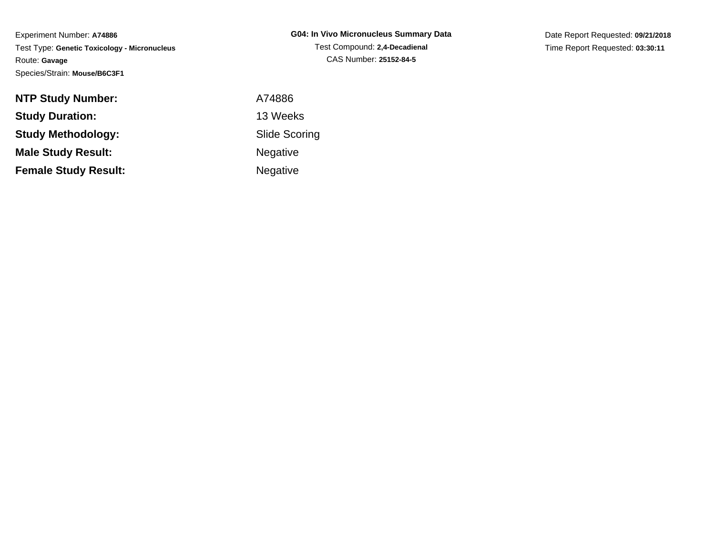Experiment Number: **A74886** Test Type: **Genetic Toxicology - Micronucleus**Route: **Gavage**Species/Strain: **Mouse/B6C3F1**

Date Report Requested: **09/21/2018**Time Report Requested: **03:30:11**

| <b>NTP Study Number:</b>    | A74886               |
|-----------------------------|----------------------|
| <b>Study Duration:</b>      | 13 Weeks             |
| <b>Study Methodology:</b>   | <b>Slide Scoring</b> |
| <b>Male Study Result:</b>   | <b>Negative</b>      |
| <b>Female Study Result:</b> | <b>Negative</b>      |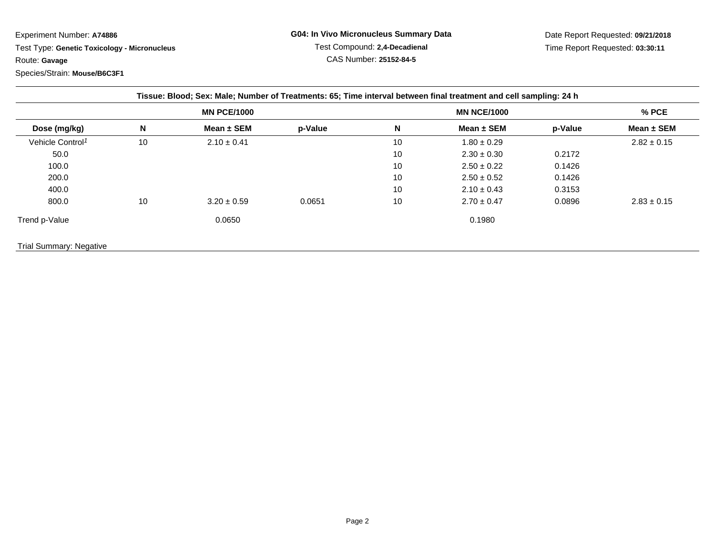## Experiment Number: **A74886**

 Test Type: **Genetic Toxicology - Micronucleus**Route: **Gavage**Species/Strain: **Mouse/B6C3F1**

Date Report Requested: **09/21/2018**Time Report Requested: **03:30:11**

| Tissue: Blood; Sex: Male; Number of Treatments: 65; Time interval between final treatment and cell sampling: 24 h |    |                    |         |    |                    |         |                 |  |
|-------------------------------------------------------------------------------------------------------------------|----|--------------------|---------|----|--------------------|---------|-----------------|--|
|                                                                                                                   |    | <b>MN PCE/1000</b> |         |    | <b>MN NCE/1000</b> |         | % PCE           |  |
| Dose (mg/kg)                                                                                                      | N  | Mean $\pm$ SEM     | p-Value | N  | Mean $\pm$ SEM     | p-Value | Mean ± SEM      |  |
| Vehicle Control <sup>1</sup>                                                                                      | 10 | $2.10 \pm 0.41$    |         | 10 | $1.80 \pm 0.29$    |         | $2.82 \pm 0.15$ |  |
| 50.0                                                                                                              |    |                    |         | 10 | $2.30 \pm 0.30$    | 0.2172  |                 |  |
| 100.0                                                                                                             |    |                    |         | 10 | $2.50 \pm 0.22$    | 0.1426  |                 |  |
| 200.0                                                                                                             |    |                    |         | 10 | $2.50 \pm 0.52$    | 0.1426  |                 |  |
| 400.0                                                                                                             |    |                    |         | 10 | $2.10 \pm 0.43$    | 0.3153  |                 |  |
| 800.0                                                                                                             | 10 | $3.20 \pm 0.59$    | 0.0651  | 10 | $2.70 \pm 0.47$    | 0.0896  | $2.83 \pm 0.15$ |  |
| Trend p-Value                                                                                                     |    | 0.0650             |         |    | 0.1980             |         |                 |  |
| <b>Trial Summary: Negative</b>                                                                                    |    |                    |         |    |                    |         |                 |  |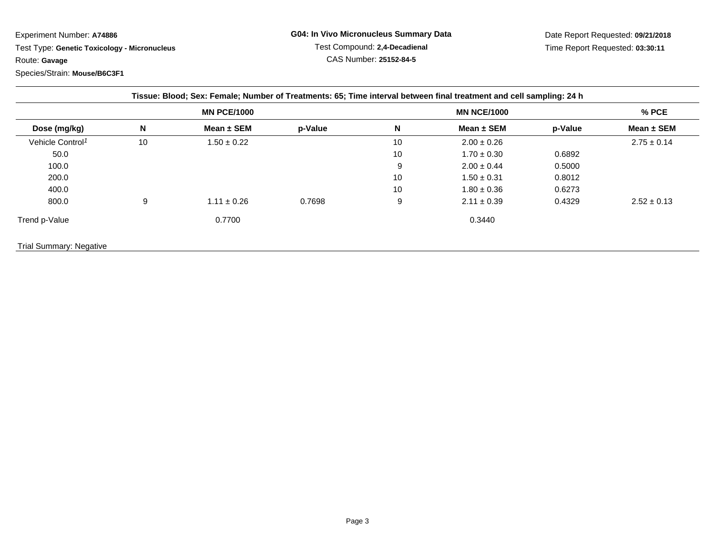## Experiment Number: **A74886**

 Test Type: **Genetic Toxicology - Micronucleus**Route: **Gavage**

Species/Strain: **Mouse/B6C3F1**

Date Report Requested: **09/21/2018**Time Report Requested: **03:30:11**

| Tissue: Blood; Sex: Female; Number of Treatments: 65; Time interval between final treatment and cell sampling: 24 h |    |                    |         |    |                    |         |                 |  |
|---------------------------------------------------------------------------------------------------------------------|----|--------------------|---------|----|--------------------|---------|-----------------|--|
|                                                                                                                     |    | <b>MN PCE/1000</b> |         |    | <b>MN NCE/1000</b> |         | % PCE           |  |
| Dose (mg/kg)                                                                                                        | N  | Mean $\pm$ SEM     | p-Value | N  | Mean $\pm$ SEM     | p-Value | Mean ± SEM      |  |
| Vehicle Control <sup>1</sup>                                                                                        | 10 | $1.50 \pm 0.22$    |         | 10 | $2.00 \pm 0.26$    |         | $2.75 \pm 0.14$ |  |
| 50.0                                                                                                                |    |                    |         | 10 | $1.70 \pm 0.30$    | 0.6892  |                 |  |
| 100.0                                                                                                               |    |                    |         | 9  | $2.00 \pm 0.44$    | 0.5000  |                 |  |
| 200.0                                                                                                               |    |                    |         | 10 | $1.50 \pm 0.31$    | 0.8012  |                 |  |
| 400.0                                                                                                               |    |                    |         | 10 | $1.80 \pm 0.36$    | 0.6273  |                 |  |
| 800.0                                                                                                               | 9  | $1.11 \pm 0.26$    | 0.7698  | 9  | $2.11 \pm 0.39$    | 0.4329  | $2.52 \pm 0.13$ |  |
| Trend p-Value                                                                                                       |    | 0.7700             |         |    | 0.3440             |         |                 |  |
| <b>Trial Summary: Negative</b>                                                                                      |    |                    |         |    |                    |         |                 |  |